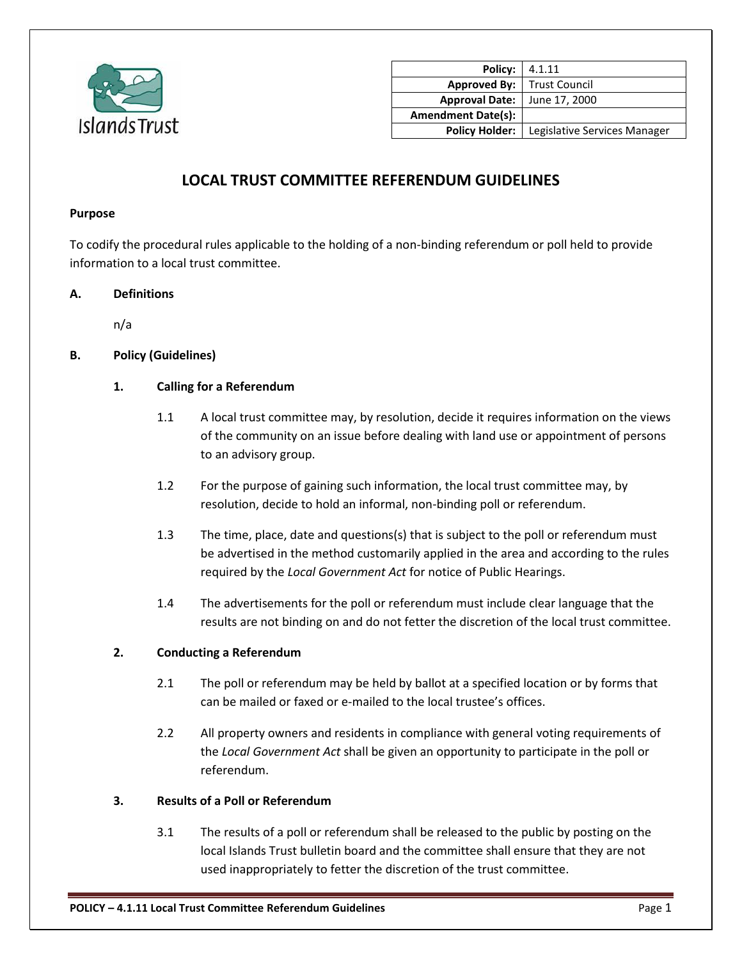

| Policy: I                 | 4.1.11                       |
|---------------------------|------------------------------|
| <b>Approved By:</b>       | Trust Council                |
| <b>Approval Date:</b>     | June 17, 2000                |
| <b>Amendment Date(s):</b> |                              |
| <b>Policy Holder:</b>     | Legislative Services Manager |

# **LOCAL TRUST COMMITTEE REFERENDUM GUIDELINES**

#### **Purpose**

To codify the procedural rules applicable to the holding of a non-binding referendum or poll held to provide information to a local trust committee.

#### **A. Definitions**

n/a

### **B. Policy (Guidelines)**

### **1. Calling for a Referendum**

- 1.1 A local trust committee may, by resolution, decide it requires information on the views of the community on an issue before dealing with land use or appointment of persons to an advisory group.
- 1.2 For the purpose of gaining such information, the local trust committee may, by resolution, decide to hold an informal, non-binding poll or referendum.
- 1.3 The time, place, date and questions(s) that is subject to the poll or referendum must be advertised in the method customarily applied in the area and according to the rules required by the *Local Government Act* for notice of Public Hearings.
- 1.4 The advertisements for the poll or referendum must include clear language that the results are not binding on and do not fetter the discretion of the local trust committee.

#### **2. Conducting a Referendum**

- 2.1 The poll or referendum may be held by ballot at a specified location or by forms that can be mailed or faxed or e-mailed to the local trustee's offices.
- 2.2 All property owners and residents in compliance with general voting requirements of the *Local Government Act* shall be given an opportunity to participate in the poll or referendum.

#### **3. Results of a Poll or Referendum**

3.1 The results of a poll or referendum shall be released to the public by posting on the local Islands Trust bulletin board and the committee shall ensure that they are not used inappropriately to fetter the discretion of the trust committee.